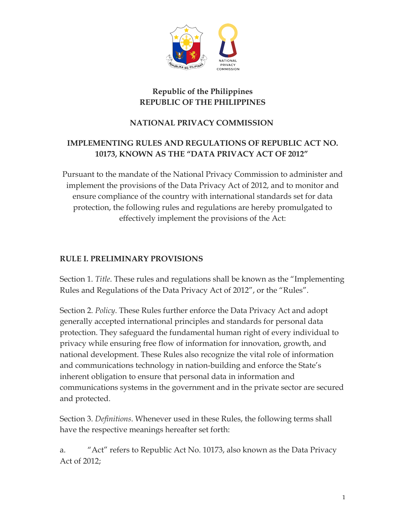

### **Republic of the Philippines REPUBLIC OF THE PHILIPPINES**

### **NATIONAL PRIVACY COMMISSION**

### **IMPLEMENTING RULES AND REGULATIONS OF REPUBLIC ACT NO. 10173, KNOWN AS THE "DATA PRIVACY ACT OF 2012"**

Pursuant to the mandate of the National Privacy Commission to administer and implement the provisions of the Data Privacy Act of 2012, and to monitor and ensure compliance of the country with international standards set for data protection, the following rules and regulations are hereby promulgated to effectively implement the provisions of the Act:

#### **RULE I. PRELIMINARY PROVISIONS**

Section 1. *Title*. These rules and regulations shall be known as the "Implementing Rules and Regulations of the Data Privacy Act of 2012", or the "Rules".

Section 2. *Policy*. These Rules further enforce the Data Privacy Act and adopt generally accepted international principles and standards for personal data protection. They safeguard the fundamental human right of every individual to privacy while ensuring free flow of information for innovation, growth, and national development. These Rules also recognize the vital role of information and communications technology in nation-building and enforce the State's inherent obligation to ensure that personal data in information and communications systems in the government and in the private sector are secured and protected.

Section 3. *Definitions*. Whenever used in these Rules, the following terms shall have the respective meanings hereafter set forth:

a. "Act" refers to Republic Act No. 10173, also known as the Data Privacy Act of 2012;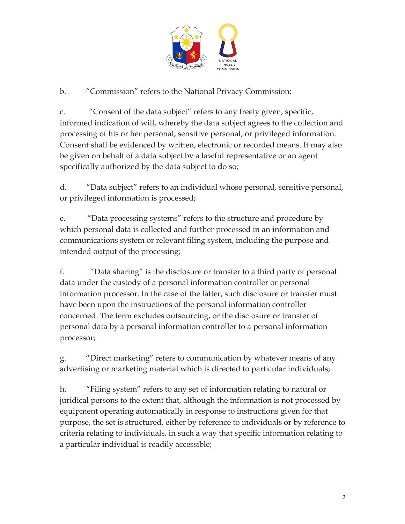

## b. "Commission" refers to the National Privacy Commission;

c. "Consent of the data subject" refers to any freely given, specific, informed indication of will, whereby the data subject agrees to the collection and processing of his or her personal, sensitive personal, or privileged information. Consent shall be evidenced by written, electronic or recorded means. It may also be given on behalf of a data subject by a lawful representative or an agent specifically authorized by the data subject to do so;

d. "Data subject" refers to an individual whose personal, sensitive personal, or privileged information is processed;

e. "Data processing systems" refers to the structure and procedure by which personal data is collected and further processed in an information and communications system or relevant filing system, including the purpose and intended output of the processing;

f. "Data sharing" is the disclosure or transfer to a third party of personal data under the custody of a personal information controller or personal information processor. In the case of the latter, such disclosure or transfer must have been upon the instructions of the personal information controller concerned. The term excludes outsourcing, or the disclosure or transfer of personal data by a personal information controller to a personal information processor;

g. "Direct marketing" refers to communication by whatever means of any advertising or marketing material which is directed to particular individuals;

h. "Filing system" refers to any set of information relating to natural or juridical persons to the extent that, although the information is not processed by equipment operating automatically in response to instructions given for that purpose, the set is structured, either by reference to individuals or by reference to criteria relating to individuals, in such a way that specific information relating to a particular individual is readily accessible;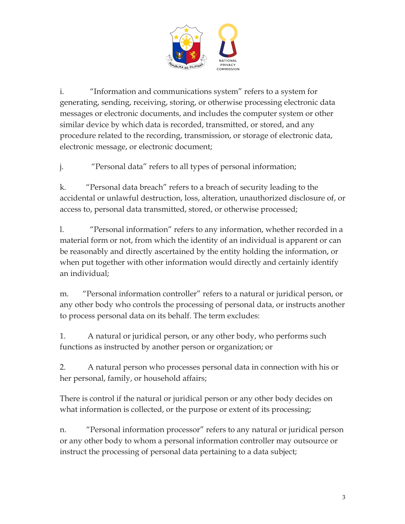

i. "Information and communications system" refers to a system for generating, sending, receiving, storing, or otherwise processing electronic data messages or electronic documents, and includes the computer system or other similar device by which data is recorded, transmitted, or stored, and any procedure related to the recording, transmission, or storage of electronic data, electronic message, or electronic document;

j. "Personal data" refers to all types of personal information;

k. "Personal data breach" refers to a breach of security leading to the accidental or unlawful destruction, loss, alteration, unauthorized disclosure of, or access to, personal data transmitted, stored, or otherwise processed;

l. "Personal information" refers to any information, whether recorded in a material form or not, from which the identity of an individual is apparent or can be reasonably and directly ascertained by the entity holding the information, or when put together with other information would directly and certainly identify an individual;

m. "Personal information controller" refers to a natural or juridical person, or any other body who controls the processing of personal data, or instructs another to process personal data on its behalf. The term excludes:

1. A natural or juridical person, or any other body, who performs such functions as instructed by another person or organization; or

2. A natural person who processes personal data in connection with his or her personal, family, or household affairs;

There is control if the natural or juridical person or any other body decides on what information is collected, or the purpose or extent of its processing;

n. "Personal information processor" refers to any natural or juridical person or any other body to whom a personal information controller may outsource or instruct the processing of personal data pertaining to a data subject;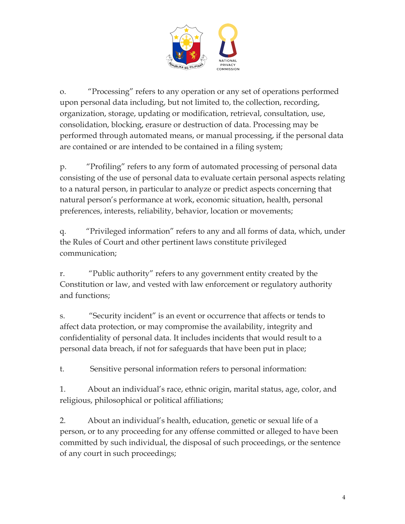

o. "Processing" refers to any operation or any set of operations performed upon personal data including, but not limited to, the collection, recording, organization, storage, updating or modification, retrieval, consultation, use, consolidation, blocking, erasure or destruction of data. Processing may be performed through automated means, or manual processing, if the personal data are contained or are intended to be contained in a filing system;

p. "Profiling" refers to any form of automated processing of personal data consisting of the use of personal data to evaluate certain personal aspects relating to a natural person, in particular to analyze or predict aspects concerning that natural person's performance at work, economic situation, health, personal preferences, interests, reliability, behavior, location or movements;

q. "Privileged information" refers to any and all forms of data, which, under the Rules of Court and other pertinent laws constitute privileged communication;

r. "Public authority" refers to any government entity created by the Constitution or law, and vested with law enforcement or regulatory authority and functions;

s. "Security incident" is an event or occurrence that affects or tends to affect data protection, or may compromise the availability, integrity and confidentiality of personal data. It includes incidents that would result to a personal data breach, if not for safeguards that have been put in place;

t. Sensitive personal information refers to personal information:

1. About an individual's race, ethnic origin, marital status, age, color, and religious, philosophical or political affiliations;

2. About an individual's health, education, genetic or sexual life of a person, or to any proceeding for any offense committed or alleged to have been committed by such individual, the disposal of such proceedings, or the sentence of any court in such proceedings;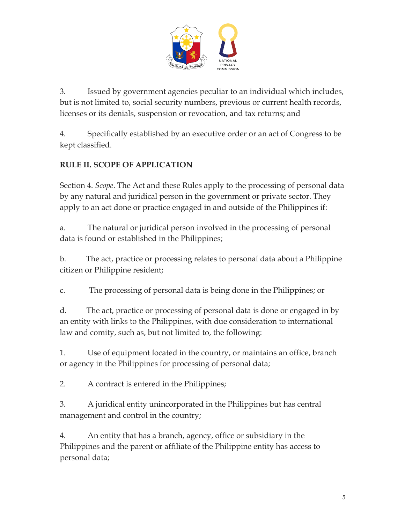

3. Issued by government agencies peculiar to an individual which includes, but is not limited to, social security numbers, previous or current health records, licenses or its denials, suspension or revocation, and tax returns; and

4. Specifically established by an executive order or an act of Congress to be kept classified.

# **RULE II. SCOPE OF APPLICATION**

Section 4. *Scope*. The Act and these Rules apply to the processing of personal data by any natural and juridical person in the government or private sector. They apply to an act done or practice engaged in and outside of the Philippines if:

a. The natural or juridical person involved in the processing of personal data is found or established in the Philippines;

b. The act, practice or processing relates to personal data about a Philippine citizen or Philippine resident;

c. The processing of personal data is being done in the Philippines; or

d. The act, practice or processing of personal data is done or engaged in by an entity with links to the Philippines, with due consideration to international law and comity, such as, but not limited to, the following:

1. Use of equipment located in the country, or maintains an office, branch or agency in the Philippines for processing of personal data;

2. A contract is entered in the Philippines;

3. A juridical entity unincorporated in the Philippines but has central management and control in the country;

4. An entity that has a branch, agency, office or subsidiary in the Philippines and the parent or affiliate of the Philippine entity has access to personal data;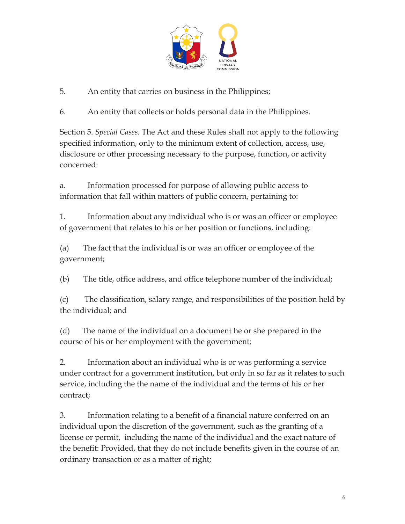

5. An entity that carries on business in the Philippines;

6. An entity that collects or holds personal data in the Philippines.

Section 5. *Special Cases*. The Act and these Rules shall not apply to the following specified information, only to the minimum extent of collection, access, use, disclosure or other processing necessary to the purpose, function, or activity concerned:

a. Information processed for purpose of allowing public access to information that fall within matters of public concern, pertaining to:

1. Information about any individual who is or was an officer or employee of government that relates to his or her position or functions, including:

(a) The fact that the individual is or was an officer or employee of the government;

(b) The title, office address, and office telephone number of the individual;

(c) The classification, salary range, and responsibilities of the position held by the individual; and

(d) The name of the individual on a document he or she prepared in the course of his or her employment with the government;

2. Information about an individual who is or was performing a service under contract for a government institution, but only in so far as it relates to such service, including the the name of the individual and the terms of his or her contract;

3. Information relating to a benefit of a financial nature conferred on an individual upon the discretion of the government, such as the granting of a license or permit, including the name of the individual and the exact nature of the benefit: Provided, that they do not include benefits given in the course of an ordinary transaction or as a matter of right;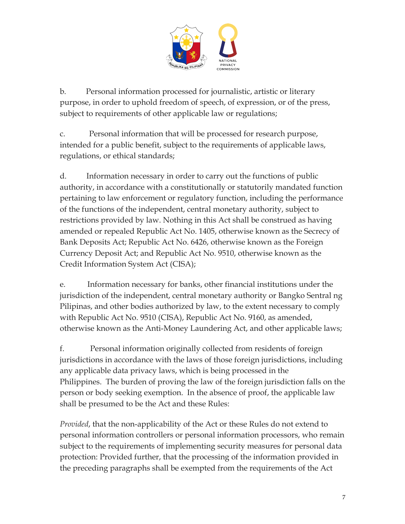

b. Personal information processed for journalistic, artistic or literary purpose, in order to uphold freedom of speech, of expression, or of the press, subject to requirements of other applicable law or regulations;

c. Personal information that will be processed for research purpose, intended for a public benefit, subject to the requirements of applicable laws, regulations, or ethical standards;

d. Information necessary in order to carry out the functions of public authority, in accordance with a constitutionally or statutorily mandated function pertaining to law enforcement or regulatory function, including the performance of the functions of the independent, central monetary authority, subject to restrictions provided by law. Nothing in this Act shall be construed as having amended or repealed Republic Act No. 1405, otherwise known as the Secrecy of Bank Deposits Act; Republic Act No. 6426, otherwise known as the Foreign Currency Deposit Act; and Republic Act No. 9510, otherwise known as the Credit Information System Act (CISA);

e. Information necessary for banks, other financial institutions under the jurisdiction of the independent, central monetary authority or Bangko Sentral ng Pilipinas, and other bodies authorized by law, to the extent necessary to comply with Republic Act No. 9510 (CISA), Republic Act No. 9160, as amended, otherwise known as the Anti-Money Laundering Act, and other applicable laws;

f. Personal information originally collected from residents of foreign jurisdictions in accordance with the laws of those foreign jurisdictions, including any applicable data privacy laws, which is being processed in the Philippines. The burden of proving the law of the foreign jurisdiction falls on the person or body seeking exemption. In the absence of proof, the applicable law shall be presumed to be the Act and these Rules:

*Provided*, that the non-applicability of the Act or these Rules do not extend to personal information controllers or personal information processors, who remain subject to the requirements of implementing security measures for personal data protection: Provided further, that the processing of the information provided in the preceding paragraphs shall be exempted from the requirements of the Act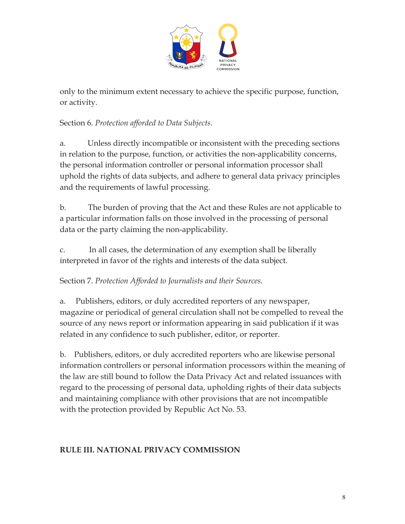

only to the minimum extent necessary to achieve the specific purpose, function, or activity.

Section 6. *Protection afforded to Data Subjects*.

a. Unless directly incompatible or inconsistent with the preceding sections in relation to the purpose, function, or activities the non-applicability concerns, the personal information controller or personal information processor shall uphold the rights of data subjects, and adhere to general data privacy principles and the requirements of lawful processing.

b. The burden of proving that the Act and these Rules are not applicable to a particular information falls on those involved in the processing of personal data or the party claiming the non-applicability.

c. In all cases, the determination of any exemption shall be liberally interpreted in favor of the rights and interests of the data subject.

## Section 7. *Protection Afforded to Journalists and their Sources.*

a. Publishers, editors, or duly accredited reporters of any newspaper, magazine or periodical of general circulation shall not be compelled to reveal the source of any news report or information appearing in said publication if it was related in any confidence to such publisher, editor, or reporter.

b. Publishers, editors, or duly accredited reporters who are likewise personal information controllers or personal information processors within the meaning of the law are still bound to follow the Data Privacy Act and related issuances with regard to the processing of personal data, upholding rights of their data subjects and maintaining compliance with other provisions that are not incompatible with the protection provided by Republic Act No. 53.

## **RULE III. NATIONAL PRIVACY COMMISSION**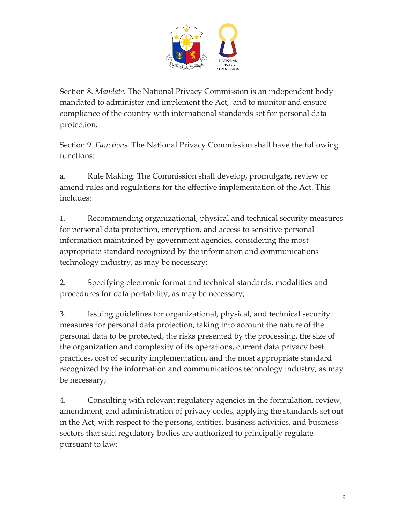

Section 8. *Mandate*. The National Privacy Commission is an independent body mandated to administer and implement the Act, and to monitor and ensure compliance of the country with international standards set for personal data protection.

Section 9. *Functions*. The National Privacy Commission shall have the following functions:

a. Rule Making. The Commission shall develop, promulgate, review or amend rules and regulations for the effective implementation of the Act. This includes:

1. Recommending organizational, physical and technical security measures for personal data protection, encryption, and access to sensitive personal information maintained by government agencies, considering the most appropriate standard recognized by the information and communications technology industry, as may be necessary;

2. Specifying electronic format and technical standards, modalities and procedures for data portability, as may be necessary;

3. Issuing guidelines for organizational, physical, and technical security measures for personal data protection, taking into account the nature of the personal data to be protected, the risks presented by the processing, the size of the organization and complexity of its operations, current data privacy best practices, cost of security implementation, and the most appropriate standard recognized by the information and communications technology industry, as may be necessary;

4. Consulting with relevant regulatory agencies in the formulation, review, amendment, and administration of privacy codes, applying the standards set out in the Act, with respect to the persons, entities, business activities, and business sectors that said regulatory bodies are authorized to principally regulate pursuant to law;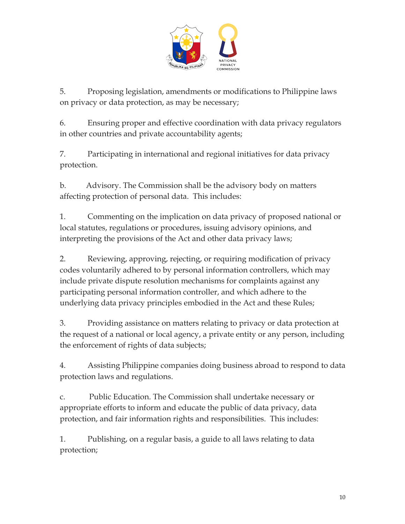

5. Proposing legislation, amendments or modifications to Philippine laws on privacy or data protection, as may be necessary;

6. Ensuring proper and effective coordination with data privacy regulators in other countries and private accountability agents;

7. Participating in international and regional initiatives for data privacy protection.

b. Advisory. The Commission shall be the advisory body on matters affecting protection of personal data. This includes:

1. Commenting on the implication on data privacy of proposed national or local statutes, regulations or procedures, issuing advisory opinions, and interpreting the provisions of the Act and other data privacy laws;

2. Reviewing, approving, rejecting, or requiring modification of privacy codes voluntarily adhered to by personal information controllers, which may include private dispute resolution mechanisms for complaints against any participating personal information controller, and which adhere to the underlying data privacy principles embodied in the Act and these Rules;

3. Providing assistance on matters relating to privacy or data protection at the request of a national or local agency, a private entity or any person, including the enforcement of rights of data subjects;

4. Assisting Philippine companies doing business abroad to respond to data protection laws and regulations.

c. Public Education. The Commission shall undertake necessary or appropriate efforts to inform and educate the public of data privacy, data protection, and fair information rights and responsibilities. This includes:

1. Publishing, on a regular basis, a guide to all laws relating to data protection;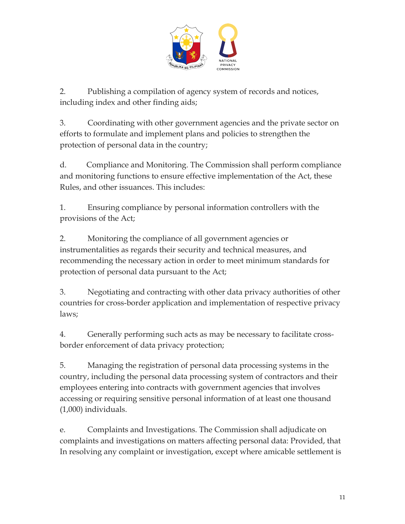

2. Publishing a compilation of agency system of records and notices, including index and other finding aids;

3. Coordinating with other government agencies and the private sector on efforts to formulate and implement plans and policies to strengthen the protection of personal data in the country;

d. Compliance and Monitoring. The Commission shall perform compliance and monitoring functions to ensure effective implementation of the Act, these Rules, and other issuances. This includes:

1. Ensuring compliance by personal information controllers with the provisions of the Act;

2. Monitoring the compliance of all government agencies or instrumentalities as regards their security and technical measures, and recommending the necessary action in order to meet minimum standards for protection of personal data pursuant to the Act;

3. Negotiating and contracting with other data privacy authorities of other countries for cross-border application and implementation of respective privacy laws;

4. Generally performing such acts as may be necessary to facilitate crossborder enforcement of data privacy protection;

5. Managing the registration of personal data processing systems in the country, including the personal data processing system of contractors and their employees entering into contracts with government agencies that involves accessing or requiring sensitive personal information of at least one thousand (1,000) individuals.

e. Complaints and Investigations. The Commission shall adjudicate on complaints and investigations on matters affecting personal data: Provided, that In resolving any complaint or investigation, except where amicable settlement is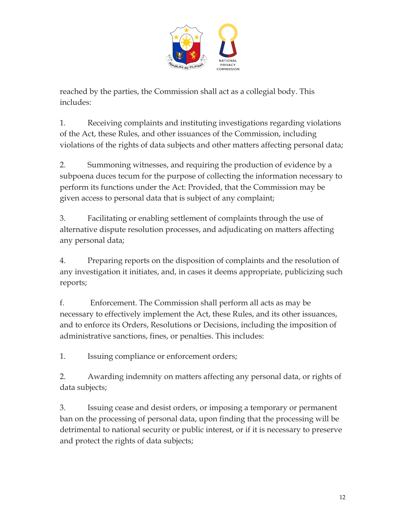

reached by the parties, the Commission shall act as a collegial body. This includes:

1. Receiving complaints and instituting investigations regarding violations of the Act, these Rules, and other issuances of the Commission, including violations of the rights of data subjects and other matters affecting personal data;

2. Summoning witnesses, and requiring the production of evidence by a subpoena duces tecum for the purpose of collecting the information necessary to perform its functions under the Act: Provided, that the Commission may be given access to personal data that is subject of any complaint;

3. Facilitating or enabling settlement of complaints through the use of alternative dispute resolution processes, and adjudicating on matters affecting any personal data;

4. Preparing reports on the disposition of complaints and the resolution of any investigation it initiates, and, in cases it deems appropriate, publicizing such reports;

f. Enforcement. The Commission shall perform all acts as may be necessary to effectively implement the Act, these Rules, and its other issuances, and to enforce its Orders, Resolutions or Decisions, including the imposition of administrative sanctions, fines, or penalties. This includes:

1. Issuing compliance or enforcement orders;

2. Awarding indemnity on matters affecting any personal data, or rights of data subjects;

3. Issuing cease and desist orders, or imposing a temporary or permanent ban on the processing of personal data, upon finding that the processing will be detrimental to national security or public interest, or if it is necessary to preserve and protect the rights of data subjects;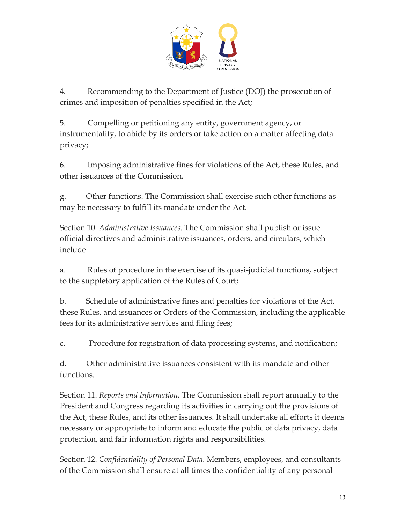

4. Recommending to the Department of Justice (DOJ) the prosecution of crimes and imposition of penalties specified in the Act;

5. Compelling or petitioning any entity, government agency, or instrumentality, to abide by its orders or take action on a matter affecting data privacy;

6. Imposing administrative fines for violations of the Act, these Rules, and other issuances of the Commission.

g. Other functions. The Commission shall exercise such other functions as may be necessary to fulfill its mandate under the Act.

Section 10. *Administrative Issuances*. The Commission shall publish or issue official directives and administrative issuances, orders, and circulars, which include:

a. Rules of procedure in the exercise of its quasi-judicial functions, subject to the suppletory application of the Rules of Court;

b. Schedule of administrative fines and penalties for violations of the Act, these Rules, and issuances or Orders of the Commission, including the applicable fees for its administrative services and filing fees;

c. Procedure for registration of data processing systems, and notification;

d. Other administrative issuances consistent with its mandate and other functions.

Section 11. *Reports and Information.* The Commission shall report annually to the President and Congress regarding its activities in carrying out the provisions of the Act, these Rules, and its other issuances. It shall undertake all efforts it deems necessary or appropriate to inform and educate the public of data privacy, data protection, and fair information rights and responsibilities.

Section 12. *Confidentiality of Personal Data*. Members, employees, and consultants of the Commission shall ensure at all times the confidentiality of any personal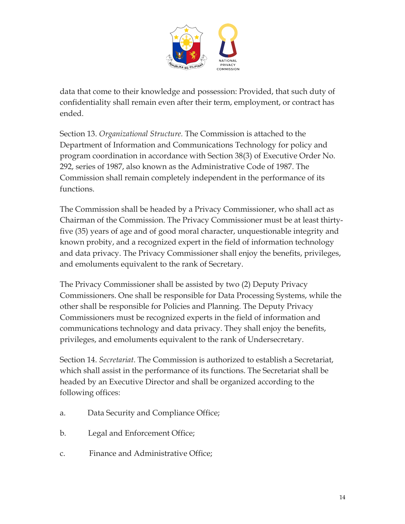

data that come to their knowledge and possession: Provided, that such duty of confidentiality shall remain even after their term, employment, or contract has ended.

Section 13. *Organizational Structure.* The Commission is attached to the Department of Information and Communications Technology for policy and program coordination in accordance with Section 38(3) of Executive Order No. 292, series of 1987, also known as the Administrative Code of 1987. The Commission shall remain completely independent in the performance of its functions.

The Commission shall be headed by a Privacy Commissioner, who shall act as Chairman of the Commission. The Privacy Commissioner must be at least thirtyfive (35) years of age and of good moral character, unquestionable integrity and known probity, and a recognized expert in the field of information technology and data privacy. The Privacy Commissioner shall enjoy the benefits, privileges, and emoluments equivalent to the rank of Secretary.

The Privacy Commissioner shall be assisted by two (2) Deputy Privacy Commissioners. One shall be responsible for Data Processing Systems, while the other shall be responsible for Policies and Planning. The Deputy Privacy Commissioners must be recognized experts in the field of information and communications technology and data privacy. They shall enjoy the benefits, privileges, and emoluments equivalent to the rank of Undersecretary.

Section 14. *Secretariat*. The Commission is authorized to establish a Secretariat, which shall assist in the performance of its functions. The Secretariat shall be headed by an Executive Director and shall be organized according to the following offices:

- a. Data Security and Compliance Office;
- b. Legal and Enforcement Office;
- c. Finance and Administrative Office;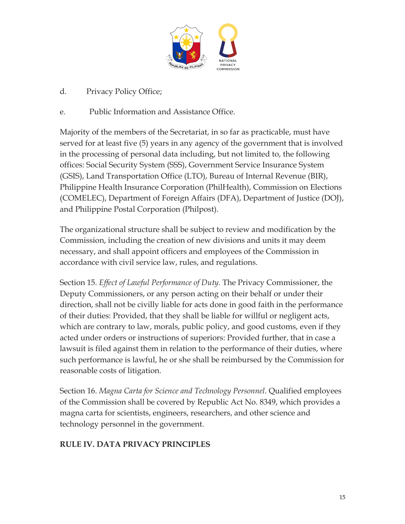

d. Privacy Policy Office;

#### e. Public Information and Assistance Office.

Majority of the members of the Secretariat, in so far as practicable, must have served for at least five (5) years in any agency of the government that is involved in the processing of personal data including, but not limited to, the following offices: Social Security System (SSS), Government Service Insurance System (GSIS), Land Transportation Office (LTO), Bureau of Internal Revenue (BIR), Philippine Health Insurance Corporation (PhilHealth), Commission on Elections (COMELEC), Department of Foreign Affairs (DFA), Department of Justice (DOJ), and Philippine Postal Corporation (Philpost).

The organizational structure shall be subject to review and modification by the Commission, including the creation of new divisions and units it may deem necessary, and shall appoint officers and employees of the Commission in accordance with civil service law, rules, and regulations.

Section 15. *Effect of Lawful Performance of Duty.* The Privacy Commissioner, the Deputy Commissioners, or any person acting on their behalf or under their direction, shall not be civilly liable for acts done in good faith in the performance of their duties: Provided, that they shall be liable for willful or negligent acts, which are contrary to law, morals, public policy, and good customs, even if they acted under orders or instructions of superiors: Provided further, that in case a lawsuit is filed against them in relation to the performance of their duties, where such performance is lawful, he or she shall be reimbursed by the Commission for reasonable costs of litigation.

Section 16. *Magna Carta for Science and Technology Personnel*. Qualified employees of the Commission shall be covered by Republic Act No. 8349, which provides a magna carta for scientists, engineers, researchers, and other science and technology personnel in the government.

## **RULE IV. DATA PRIVACY PRINCIPLES**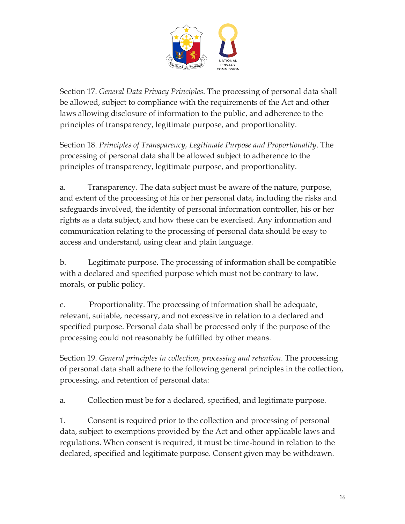

Section 17. *General Data Privacy Principles*. The processing of personal data shall be allowed, subject to compliance with the requirements of the Act and other laws allowing disclosure of information to the public, and adherence to the principles of transparency, legitimate purpose, and proportionality.

Section 18. *Principles of Transparency, Legitimate Purpose and Proportionality*. The processing of personal data shall be allowed subject to adherence to the principles of transparency, legitimate purpose, and proportionality.

a. Transparency. The data subject must be aware of the nature, purpose, and extent of the processing of his or her personal data, including the risks and safeguards involved, the identity of personal information controller, his or her rights as a data subject, and how these can be exercised. Any information and communication relating to the processing of personal data should be easy to access and understand, using clear and plain language.

b. Legitimate purpose. The processing of information shall be compatible with a declared and specified purpose which must not be contrary to law, morals, or public policy.

c. Proportionality. The processing of information shall be adequate, relevant, suitable, necessary, and not excessive in relation to a declared and specified purpose. Personal data shall be processed only if the purpose of the processing could not reasonably be fulfilled by other means.

Section 19. *General principles in collection, processing and retention.* The processing of personal data shall adhere to the following general principles in the collection, processing, and retention of personal data:

a. Collection must be for a declared, specified, and legitimate purpose.

1. Consent is required prior to the collection and processing of personal data, subject to exemptions provided by the Act and other applicable laws and regulations. When consent is required, it must be time-bound in relation to the declared, specified and legitimate purpose. Consent given may be withdrawn.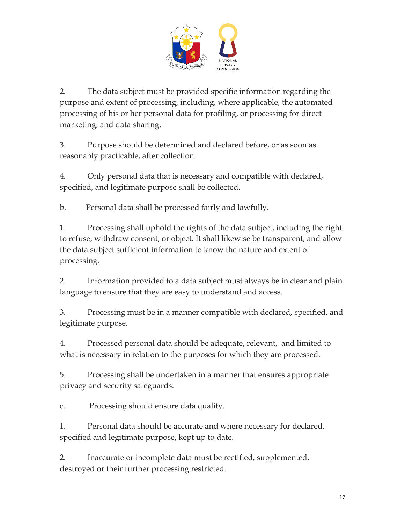

2. The data subject must be provided specific information regarding the purpose and extent of processing, including, where applicable, the automated processing of his or her personal data for profiling, or processing for direct marketing, and data sharing.

3. Purpose should be determined and declared before, or as soon as reasonably practicable, after collection.

4. Only personal data that is necessary and compatible with declared, specified, and legitimate purpose shall be collected.

b. Personal data shall be processed fairly and lawfully.

1. Processing shall uphold the rights of the data subject, including the right to refuse, withdraw consent, or object. It shall likewise be transparent, and allow the data subject sufficient information to know the nature and extent of processing.

2. Information provided to a data subject must always be in clear and plain language to ensure that they are easy to understand and access.

3. Processing must be in a manner compatible with declared, specified, and legitimate purpose.

4. Processed personal data should be adequate, relevant, and limited to what is necessary in relation to the purposes for which they are processed.

5. Processing shall be undertaken in a manner that ensures appropriate privacy and security safeguards.

c. Processing should ensure data quality.

1. Personal data should be accurate and where necessary for declared, specified and legitimate purpose, kept up to date.

2. Inaccurate or incomplete data must be rectified, supplemented, destroyed or their further processing restricted.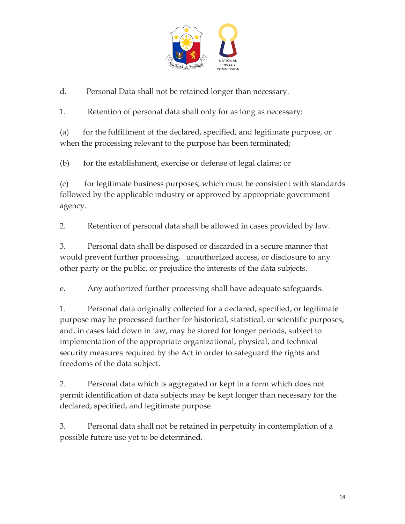

d. Personal Data shall not be retained longer than necessary.

1. Retention of personal data shall only for as long as necessary:

(a) for the fulfillment of the declared, specified, and legitimate purpose, or when the processing relevant to the purpose has been terminated;

(b) for the establishment, exercise or defense of legal claims; or

(c) for legitimate business purposes, which must be consistent with standards followed by the applicable industry or approved by appropriate government agency.

2. Retention of personal data shall be allowed in cases provided by law.

3. Personal data shall be disposed or discarded in a secure manner that would prevent further processing, unauthorized access, or disclosure to any other party or the public, or prejudice the interests of the data subjects.

e. Any authorized further processing shall have adequate safeguards.

1. Personal data originally collected for a declared, specified, or legitimate purpose may be processed further for historical, statistical, or scientific purposes, and, in cases laid down in law, may be stored for longer periods, subject to implementation of the appropriate organizational, physical, and technical security measures required by the Act in order to safeguard the rights and freedoms of the data subject.

2. Personal data which is aggregated or kept in a form which does not permit identification of data subjects may be kept longer than necessary for the declared, specified, and legitimate purpose.

3. Personal data shall not be retained in perpetuity in contemplation of a possible future use yet to be determined.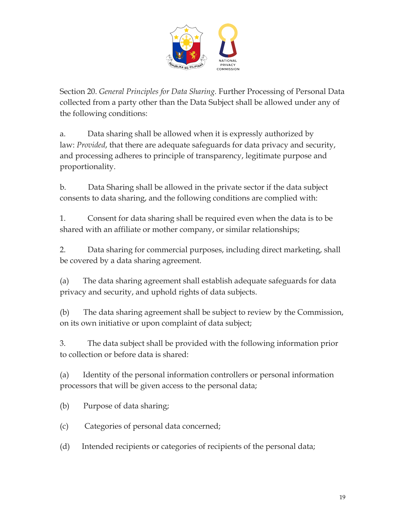

Section 20. *General Principles for Data Sharing.* Further Processing of Personal Data collected from a party other than the Data Subject shall be allowed under any of the following conditions:

a. Data sharing shall be allowed when it is expressly authorized by law: *Provided*, that there are adequate safeguards for data privacy and security, and processing adheres to principle of transparency, legitimate purpose and proportionality.

b. Data Sharing shall be allowed in the private sector if the data subject consents to data sharing, and the following conditions are complied with:

1. Consent for data sharing shall be required even when the data is to be shared with an affiliate or mother company, or similar relationships;

2. Data sharing for commercial purposes, including direct marketing, shall be covered by a data sharing agreement.

(a) The data sharing agreement shall establish adequate safeguards for data privacy and security, and uphold rights of data subjects.

(b) The data sharing agreement shall be subject to review by the Commission, on its own initiative or upon complaint of data subject;

3. The data subject shall be provided with the following information prior to collection or before data is shared:

(a) Identity of the personal information controllers or personal information processors that will be given access to the personal data;

(b) Purpose of data sharing;

(c) Categories of personal data concerned;

(d) Intended recipients or categories of recipients of the personal data;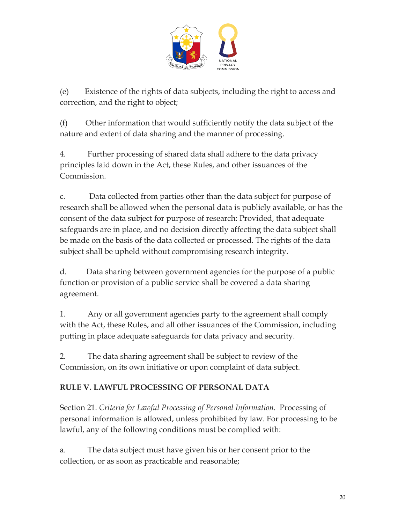

(e) Existence of the rights of data subjects, including the right to access and correction, and the right to object;

(f) Other information that would sufficiently notify the data subject of the nature and extent of data sharing and the manner of processing.

4. Further processing of shared data shall adhere to the data privacy principles laid down in the Act, these Rules, and other issuances of the Commission.

c. Data collected from parties other than the data subject for purpose of research shall be allowed when the personal data is publicly available, or has the consent of the data subject for purpose of research: Provided, that adequate safeguards are in place, and no decision directly affecting the data subject shall be made on the basis of the data collected or processed. The rights of the data subject shall be upheld without compromising research integrity.

d. Data sharing between government agencies for the purpose of a public function or provision of a public service shall be covered a data sharing agreement.

1. Any or all government agencies party to the agreement shall comply with the Act, these Rules, and all other issuances of the Commission, including putting in place adequate safeguards for data privacy and security.

2. The data sharing agreement shall be subject to review of the Commission, on its own initiative or upon complaint of data subject.

## **RULE V. LAWFUL PROCESSING OF PERSONAL DATA**

Section 21. *Criteria for Lawful Processing of Personal Information.* Processing of personal information is allowed, unless prohibited by law. For processing to be lawful, any of the following conditions must be complied with:

a. The data subject must have given his or her consent prior to the collection, or as soon as practicable and reasonable;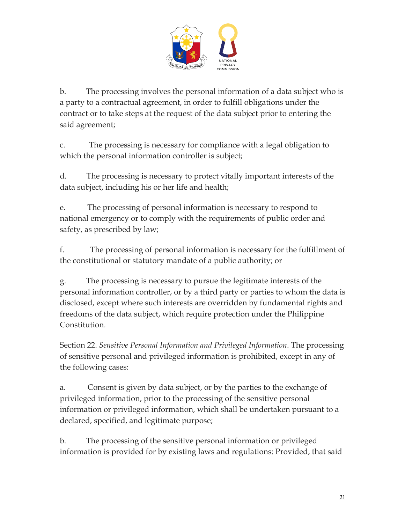

b. The processing involves the personal information of a data subject who is a party to a contractual agreement, in order to fulfill obligations under the contract or to take steps at the request of the data subject prior to entering the said agreement;

c. The processing is necessary for compliance with a legal obligation to which the personal information controller is subject;

d. The processing is necessary to protect vitally important interests of the data subject, including his or her life and health;

e. The processing of personal information is necessary to respond to national emergency or to comply with the requirements of public order and safety, as prescribed by law;

f. The processing of personal information is necessary for the fulfillment of the constitutional or statutory mandate of a public authority; or

g. The processing is necessary to pursue the legitimate interests of the personal information controller, or by a third party or parties to whom the data is disclosed, except where such interests are overridden by fundamental rights and freedoms of the data subject, which require protection under the Philippine Constitution.

Section 22. *Sensitive Personal Information and Privileged Information*. The processing of sensitive personal and privileged information is prohibited, except in any of the following cases:

a. Consent is given by data subject, or by the parties to the exchange of privileged information, prior to the processing of the sensitive personal information or privileged information, which shall be undertaken pursuant to a declared, specified, and legitimate purpose;

b. The processing of the sensitive personal information or privileged information is provided for by existing laws and regulations: Provided, that said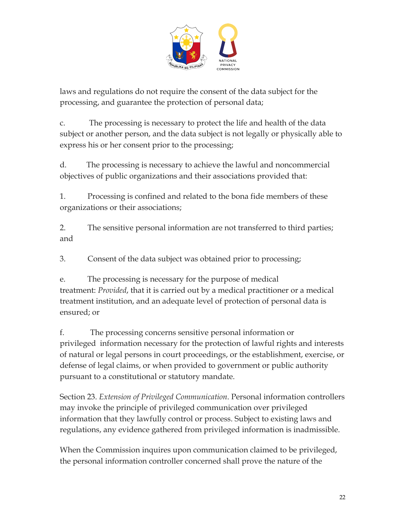

laws and regulations do not require the consent of the data subject for the processing, and guarantee the protection of personal data;

c. The processing is necessary to protect the life and health of the data subject or another person, and the data subject is not legally or physically able to express his or her consent prior to the processing;

d. The processing is necessary to achieve the lawful and noncommercial objectives of public organizations and their associations provided that:

1. Processing is confined and related to the bona fide members of these organizations or their associations;

2. The sensitive personal information are not transferred to third parties; and

3. Consent of the data subject was obtained prior to processing;

e. The processing is necessary for the purpose of medical treatment: *Provided*, that it is carried out by a medical practitioner or a medical treatment institution, and an adequate level of protection of personal data is ensured; or

f. The processing concerns sensitive personal information or privileged information necessary for the protection of lawful rights and interests of natural or legal persons in court proceedings, or the establishment, exercise, or defense of legal claims, or when provided to government or public authority pursuant to a constitutional or statutory mandate.

Section 23. *Extension of Privileged Communication*. Personal information controllers may invoke the principle of privileged communication over privileged information that they lawfully control or process. Subject to existing laws and regulations, any evidence gathered from privileged information is inadmissible.

When the Commission inquires upon communication claimed to be privileged, the personal information controller concerned shall prove the nature of the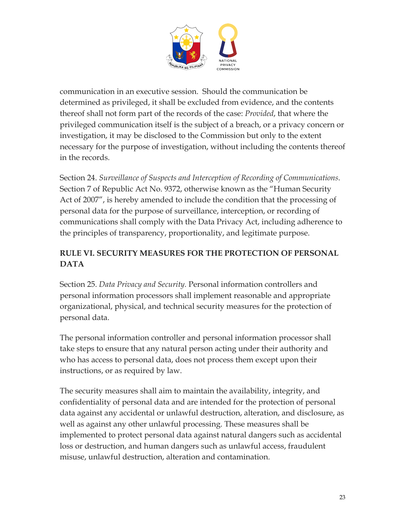

communication in an executive session. Should the communication be determined as privileged, it shall be excluded from evidence, and the contents thereof shall not form part of the records of the case: *Provided*, that where the privileged communication itself is the subject of a breach, or a privacy concern or investigation, it may be disclosed to the Commission but only to the extent necessary for the purpose of investigation, without including the contents thereof in the records.

Section 24. *Surveillance of Suspects and Interception of Recording of Communications*. Section 7 of Republic Act No. 9372, otherwise known as the "Human Security Act of 2007", is hereby amended to include the condition that the processing of personal data for the purpose of surveillance, interception, or recording of communications shall comply with the Data Privacy Act, including adherence to the principles of transparency, proportionality, and legitimate purpose.

# **RULE VI. SECURITY MEASURES FOR THE PROTECTION OF PERSONAL DATA**

Section 25. *Data Privacy and Security.* Personal information controllers and personal information processors shall implement reasonable and appropriate organizational, physical, and technical security measures for the protection of personal data.

The personal information controller and personal information processor shall take steps to ensure that any natural person acting under their authority and who has access to personal data, does not process them except upon their instructions, or as required by law.

The security measures shall aim to maintain the availability, integrity, and confidentiality of personal data and are intended for the protection of personal data against any accidental or unlawful destruction, alteration, and disclosure, as well as against any other unlawful processing. These measures shall be implemented to protect personal data against natural dangers such as accidental loss or destruction, and human dangers such as unlawful access, fraudulent misuse, unlawful destruction, alteration and contamination.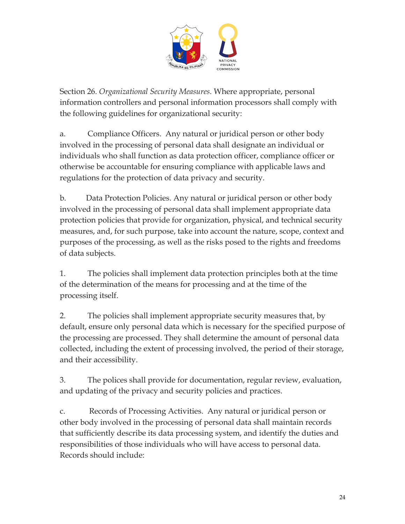

Section 26. *Organizational Security Measures.* Where appropriate, personal information controllers and personal information processors shall comply with the following guidelines for organizational security:

a. Compliance Officers. Any natural or juridical person or other body involved in the processing of personal data shall designate an individual or individuals who shall function as data protection officer, compliance officer or otherwise be accountable for ensuring compliance with applicable laws and regulations for the protection of data privacy and security.

b. Data Protection Policies. Any natural or juridical person or other body involved in the processing of personal data shall implement appropriate data protection policies that provide for organization, physical, and technical security measures, and, for such purpose, take into account the nature, scope, context and purposes of the processing, as well as the risks posed to the rights and freedoms of data subjects.

1. The policies shall implement data protection principles both at the time of the determination of the means for processing and at the time of the processing itself.

2. The policies shall implement appropriate security measures that, by default, ensure only personal data which is necessary for the specified purpose of the processing are processed. They shall determine the amount of personal data collected, including the extent of processing involved, the period of their storage, and their accessibility.

3. The polices shall provide for documentation, regular review, evaluation, and updating of the privacy and security policies and practices.

c. Records of Processing Activities. Any natural or juridical person or other body involved in the processing of personal data shall maintain records that sufficiently describe its data processing system, and identify the duties and responsibilities of those individuals who will have access to personal data. Records should include: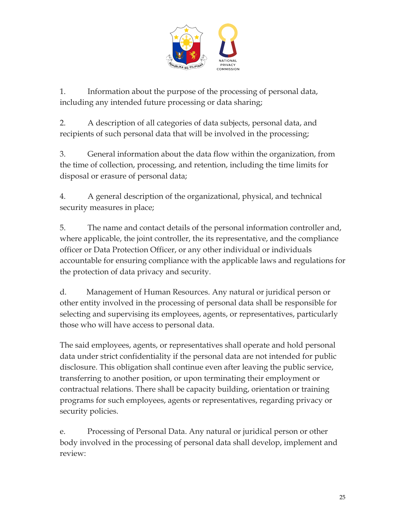

1. Information about the purpose of the processing of personal data, including any intended future processing or data sharing;

2. A description of all categories of data subjects, personal data, and recipients of such personal data that will be involved in the processing;

3. General information about the data flow within the organization, from the time of collection, processing, and retention, including the time limits for disposal or erasure of personal data;

4. A general description of the organizational, physical, and technical security measures in place;

5. The name and contact details of the personal information controller and, where applicable, the joint controller, the its representative, and the compliance officer or Data Protection Officer, or any other individual or individuals accountable for ensuring compliance with the applicable laws and regulations for the protection of data privacy and security.

d. Management of Human Resources. Any natural or juridical person or other entity involved in the processing of personal data shall be responsible for selecting and supervising its employees, agents, or representatives, particularly those who will have access to personal data.

The said employees, agents, or representatives shall operate and hold personal data under strict confidentiality if the personal data are not intended for public disclosure. This obligation shall continue even after leaving the public service, transferring to another position, or upon terminating their employment or contractual relations. There shall be capacity building, orientation or training programs for such employees, agents or representatives, regarding privacy or security policies.

e. Processing of Personal Data. Any natural or juridical person or other body involved in the processing of personal data shall develop, implement and review: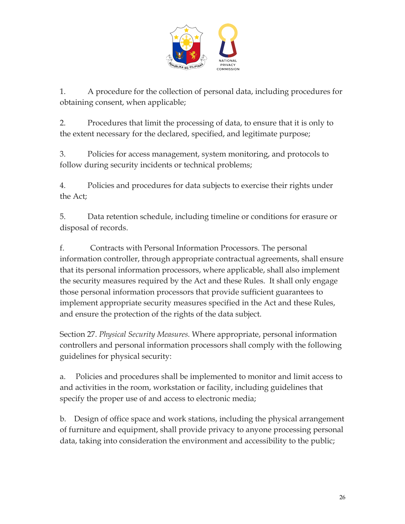

1. A procedure for the collection of personal data, including procedures for obtaining consent, when applicable;

2. Procedures that limit the processing of data, to ensure that it is only to the extent necessary for the declared, specified, and legitimate purpose;

3. Policies for access management, system monitoring, and protocols to follow during security incidents or technical problems;

4. Policies and procedures for data subjects to exercise their rights under the Act;

5. Data retention schedule, including timeline or conditions for erasure or disposal of records.

f. Contracts with Personal Information Processors. The personal information controller, through appropriate contractual agreements, shall ensure that its personal information processors, where applicable, shall also implement the security measures required by the Act and these Rules. It shall only engage those personal information processors that provide sufficient guarantees to implement appropriate security measures specified in the Act and these Rules, and ensure the protection of the rights of the data subject.

Section 27. *Physical Security Measures.* Where appropriate, personal information controllers and personal information processors shall comply with the following guidelines for physical security:

a. Policies and procedures shall be implemented to monitor and limit access to and activities in the room, workstation or facility, including guidelines that specify the proper use of and access to electronic media;

b. Design of office space and work stations, including the physical arrangement of furniture and equipment, shall provide privacy to anyone processing personal data, taking into consideration the environment and accessibility to the public;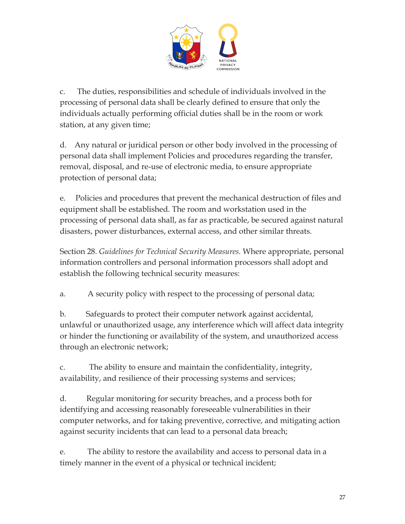

c. The duties, responsibilities and schedule of individuals involved in the processing of personal data shall be clearly defined to ensure that only the individuals actually performing official duties shall be in the room or work station, at any given time;

d. Any natural or juridical person or other body involved in the processing of personal data shall implement Policies and procedures regarding the transfer, removal, disposal, and re-use of electronic media, to ensure appropriate protection of personal data;

e. Policies and procedures that prevent the mechanical destruction of files and equipment shall be established. The room and workstation used in the processing of personal data shall, as far as practicable, be secured against natural disasters, power disturbances, external access, and other similar threats.

Section 28. *Guidelines for Technical Security Measures.* Where appropriate, personal information controllers and personal information processors shall adopt and establish the following technical security measures:

a. A security policy with respect to the processing of personal data;

b. Safeguards to protect their computer network against accidental, unlawful or unauthorized usage, any interference which will affect data integrity or hinder the functioning or availability of the system, and unauthorized access through an electronic network;

c. The ability to ensure and maintain the confidentiality, integrity, availability, and resilience of their processing systems and services;

d. Regular monitoring for security breaches, and a process both for identifying and accessing reasonably foreseeable vulnerabilities in their computer networks, and for taking preventive, corrective, and mitigating action against security incidents that can lead to a personal data breach;

e. The ability to restore the availability and access to personal data in a timely manner in the event of a physical or technical incident;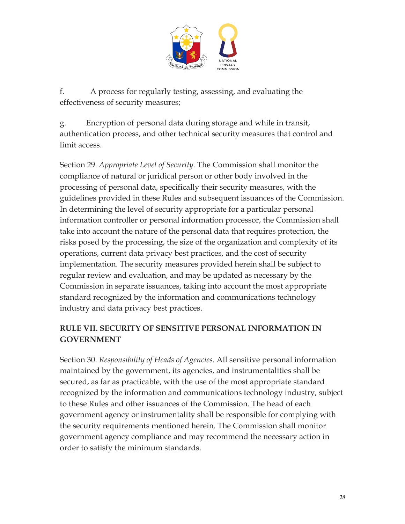

f. A process for regularly testing, assessing, and evaluating the effectiveness of security measures;

g. Encryption of personal data during storage and while in transit, authentication process, and other technical security measures that control and limit access.

Section 29. *Appropriate Level of Security.* The Commission shall monitor the compliance of natural or juridical person or other body involved in the processing of personal data, specifically their security measures, with the guidelines provided in these Rules and subsequent issuances of the Commission. In determining the level of security appropriate for a particular personal information controller or personal information processor, the Commission shall take into account the nature of the personal data that requires protection, the risks posed by the processing, the size of the organization and complexity of its operations, current data privacy best practices, and the cost of security implementation. The security measures provided herein shall be subject to regular review and evaluation, and may be updated as necessary by the Commission in separate issuances, taking into account the most appropriate standard recognized by the information and communications technology industry and data privacy best practices.

#### **RULE VII. SECURITY OF SENSITIVE PERSONAL INFORMATION IN GOVERNMENT**

Section 30. *Responsibility of Heads of Agencies*. All sensitive personal information maintained by the government, its agencies, and instrumentalities shall be secured, as far as practicable, with the use of the most appropriate standard recognized by the information and communications technology industry, subject to these Rules and other issuances of the Commission. The head of each government agency or instrumentality shall be responsible for complying with the security requirements mentioned herein. The Commission shall monitor government agency compliance and may recommend the necessary action in order to satisfy the minimum standards.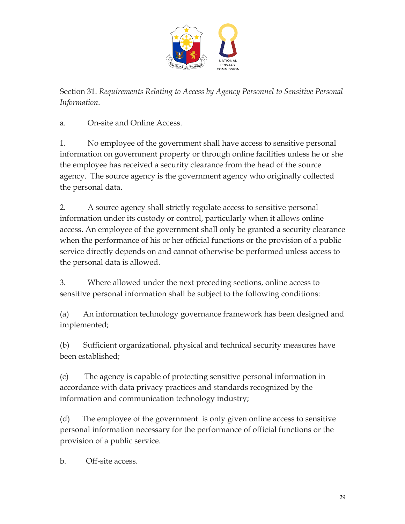

Section 31. *Requirements Relating to Access by Agency Personnel to Sensitive Personal Information*.

a. On-site and Online Access.

1. No employee of the government shall have access to sensitive personal information on government property or through online facilities unless he or she the employee has received a security clearance from the head of the source agency. The source agency is the government agency who originally collected the personal data.

2. A source agency shall strictly regulate access to sensitive personal information under its custody or control, particularly when it allows online access. An employee of the government shall only be granted a security clearance when the performance of his or her official functions or the provision of a public service directly depends on and cannot otherwise be performed unless access to the personal data is allowed.

3. Where allowed under the next preceding sections, online access to sensitive personal information shall be subject to the following conditions:

(a) An information technology governance framework has been designed and implemented;

(b) Sufficient organizational, physical and technical security measures have been established;

(c) The agency is capable of protecting sensitive personal information in accordance with data privacy practices and standards recognized by the information and communication technology industry;

(d) The employee of the government is only given online access to sensitive personal information necessary for the performance of official functions or the provision of a public service.

b. Off-site access.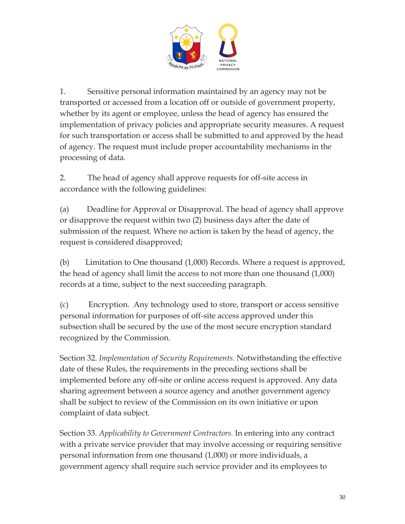

1. Sensitive personal information maintained by an agency may not be transported or accessed from a location off or outside of government property, whether by its agent or employee, unless the head of agency has ensured the implementation of privacy policies and appropriate security measures. A request for such transportation or access shall be submitted to and approved by the head of agency. The request must include proper accountability mechanisms in the processing of data.

2. The head of agency shall approve requests for off-site access in accordance with the following guidelines:

(a) Deadline for Approval or Disapproval. The head of agency shall approve or disapprove the request within two (2) business days after the date of submission of the request. Where no action is taken by the head of agency, the request is considered disapproved;

(b) Limitation to One thousand (1,000) Records. Where a request is approved, the head of agency shall limit the access to not more than one thousand (1,000) records at a time, subject to the next succeeding paragraph.

(c) Encryption. Any technology used to store, transport or access sensitive personal information for purposes of off-site access approved under this subsection shall be secured by the use of the most secure encryption standard recognized by the Commission.

Section 32. *Implementation of Security Requirements.* Notwithstanding the effective date of these Rules, the requirements in the preceding sections shall be implemented before any off-site or online access request is approved. Any data sharing agreement between a source agency and another government agency shall be subject to review of the Commission on its own initiative or upon complaint of data subject.

Section 33. *Applicability to Government Contractors.* In entering into any contract with a private service provider that may involve accessing or requiring sensitive personal information from one thousand (1,000) or more individuals, a government agency shall require such service provider and its employees to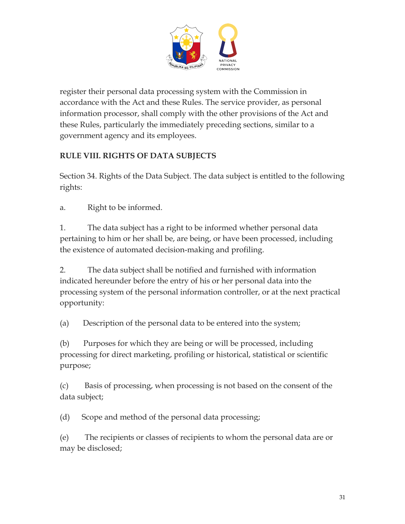

register their personal data processing system with the Commission in accordance with the Act and these Rules. The service provider, as personal information processor, shall comply with the other provisions of the Act and these Rules, particularly the immediately preceding sections, similar to a government agency and its employees.

## **RULE VIII. RIGHTS OF DATA SUBJECTS**

Section 34. Rights of the Data Subject. The data subject is entitled to the following rights:

a. Right to be informed.

1. The data subject has a right to be informed whether personal data pertaining to him or her shall be, are being, or have been processed, including the existence of automated decision-making and profiling.

2. The data subject shall be notified and furnished with information indicated hereunder before the entry of his or her personal data into the processing system of the personal information controller, or at the next practical opportunity:

(a) Description of the personal data to be entered into the system;

(b) Purposes for which they are being or will be processed, including processing for direct marketing, profiling or historical, statistical or scientific purpose;

(c) Basis of processing, when processing is not based on the consent of the data subject;

(d) Scope and method of the personal data processing;

(e) The recipients or classes of recipients to whom the personal data are or may be disclosed;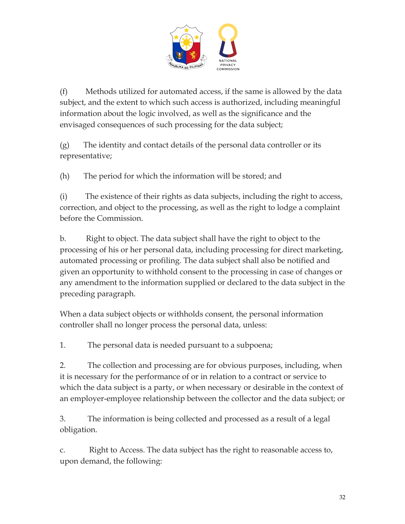

(f) Methods utilized for automated access, if the same is allowed by the data subject, and the extent to which such access is authorized, including meaningful information about the logic involved, as well as the significance and the envisaged consequences of such processing for the data subject;

(g) The identity and contact details of the personal data controller or its representative;

(h) The period for which the information will be stored; and

(i) The existence of their rights as data subjects, including the right to access, correction, and object to the processing, as well as the right to lodge a complaint before the Commission.

b. Right to object. The data subject shall have the right to object to the processing of his or her personal data, including processing for direct marketing, automated processing or profiling. The data subject shall also be notified and given an opportunity to withhold consent to the processing in case of changes or any amendment to the information supplied or declared to the data subject in the preceding paragraph.

When a data subject objects or withholds consent, the personal information controller shall no longer process the personal data, unless:

1. The personal data is needed pursuant to a subpoena;

2. The collection and processing are for obvious purposes, including, when it is necessary for the performance of or in relation to a contract or service to which the data subject is a party, or when necessary or desirable in the context of an employer-employee relationship between the collector and the data subject; or

3. The information is being collected and processed as a result of a legal obligation.

c. Right to Access. The data subject has the right to reasonable access to, upon demand, the following: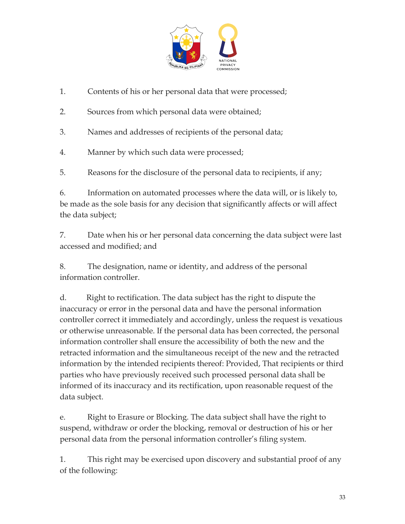

- 1. Contents of his or her personal data that were processed;
- 2. Sources from which personal data were obtained;
- 3. Names and addresses of recipients of the personal data;
- 4. Manner by which such data were processed;
- 5. Reasons for the disclosure of the personal data to recipients, if any;

6. Information on automated processes where the data will, or is likely to, be made as the sole basis for any decision that significantly affects or will affect the data subject;

7. Date when his or her personal data concerning the data subject were last accessed and modified; and

8. The designation, name or identity, and address of the personal information controller.

d. Right to rectification. The data subject has the right to dispute the inaccuracy or error in the personal data and have the personal information controller correct it immediately and accordingly, unless the request is vexatious or otherwise unreasonable. If the personal data has been corrected, the personal information controller shall ensure the accessibility of both the new and the retracted information and the simultaneous receipt of the new and the retracted information by the intended recipients thereof: Provided, That recipients or third parties who have previously received such processed personal data shall be informed of its inaccuracy and its rectification, upon reasonable request of the data subject.

e. Right to Erasure or Blocking. The data subject shall have the right to suspend, withdraw or order the blocking, removal or destruction of his or her personal data from the personal information controller's filing system.

1. This right may be exercised upon discovery and substantial proof of any of the following: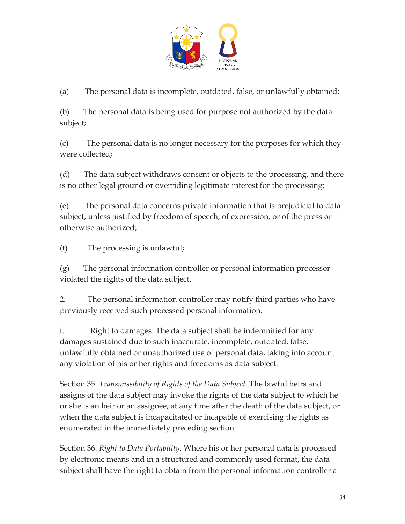

(a) The personal data is incomplete, outdated, false, or unlawfully obtained;

(b) The personal data is being used for purpose not authorized by the data subject;

(c) The personal data is no longer necessary for the purposes for which they were collected;

(d) The data subject withdraws consent or objects to the processing, and there is no other legal ground or overriding legitimate interest for the processing;

(e) The personal data concerns private information that is prejudicial to data subject, unless justified by freedom of speech, of expression, or of the press or otherwise authorized;

(f) The processing is unlawful;

(g) The personal information controller or personal information processor violated the rights of the data subject.

2. The personal information controller may notify third parties who have previously received such processed personal information.

f. Right to damages. The data subject shall be indemnified for any damages sustained due to such inaccurate, incomplete, outdated, false, unlawfully obtained or unauthorized use of personal data, taking into account any violation of his or her rights and freedoms as data subject.

Section 35. *Transmissibility of Rights of the Data Subject*. The lawful heirs and assigns of the data subject may invoke the rights of the data subject to which he or she is an heir or an assignee, at any time after the death of the data subject, or when the data subject is incapacitated or incapable of exercising the rights as enumerated in the immediately preceding section.

Section 36. *Right to Data Portability*. Where his or her personal data is processed by electronic means and in a structured and commonly used format, the data subject shall have the right to obtain from the personal information controller a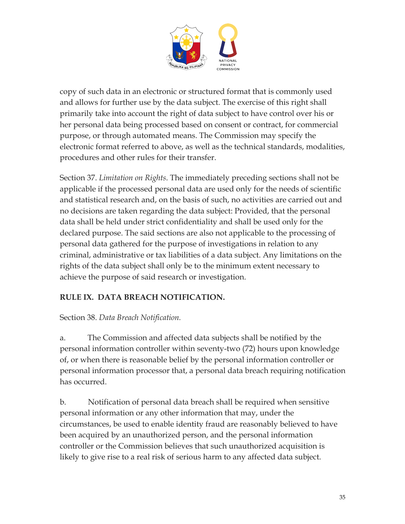

copy of such data in an electronic or structured format that is commonly used and allows for further use by the data subject. The exercise of this right shall primarily take into account the right of data subject to have control over his or her personal data being processed based on consent or contract, for commercial purpose, or through automated means. The Commission may specify the electronic format referred to above, as well as the technical standards, modalities, procedures and other rules for their transfer.

Section 37. *Limitation on Rights*. The immediately preceding sections shall not be applicable if the processed personal data are used only for the needs of scientific and statistical research and, on the basis of such, no activities are carried out and no decisions are taken regarding the data subject: Provided, that the personal data shall be held under strict confidentiality and shall be used only for the declared purpose. The said sections are also not applicable to the processing of personal data gathered for the purpose of investigations in relation to any criminal, administrative or tax liabilities of a data subject. Any limitations on the rights of the data subject shall only be to the minimum extent necessary to achieve the purpose of said research or investigation.

## **RULE IX. DATA BREACH NOTIFICATION.**

Section 38. *Data Breach Notification.*

a. The Commission and affected data subjects shall be notified by the personal information controller within seventy-two (72) hours upon knowledge of, or when there is reasonable belief by the personal information controller or personal information processor that, a personal data breach requiring notification has occurred.

b. Notification of personal data breach shall be required when sensitive personal information or any other information that may, under the circumstances, be used to enable identity fraud are reasonably believed to have been acquired by an unauthorized person, and the personal information controller or the Commission believes that such unauthorized acquisition is likely to give rise to a real risk of serious harm to any affected data subject.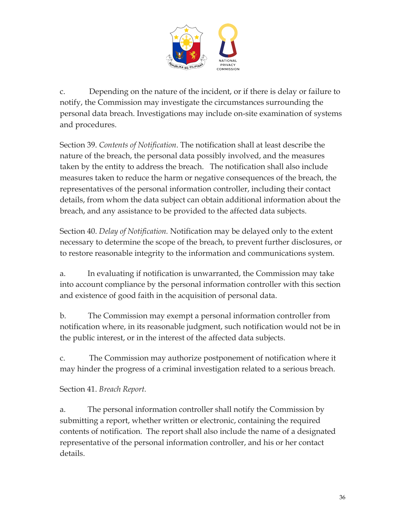

c. Depending on the nature of the incident, or if there is delay or failure to notify, the Commission may investigate the circumstances surrounding the personal data breach. Investigations may include on-site examination of systems and procedures.

Section 39. *Contents of Notification*. The notification shall at least describe the nature of the breach, the personal data possibly involved, and the measures taken by the entity to address the breach. The notification shall also include measures taken to reduce the harm or negative consequences of the breach, the representatives of the personal information controller, including their contact details, from whom the data subject can obtain additional information about the breach, and any assistance to be provided to the affected data subjects.

Section 40. *Delay of Notification.* Notification may be delayed only to the extent necessary to determine the scope of the breach, to prevent further disclosures, or to restore reasonable integrity to the information and communications system.

a. In evaluating if notification is unwarranted, the Commission may take into account compliance by the personal information controller with this section and existence of good faith in the acquisition of personal data.

b. The Commission may exempt a personal information controller from notification where, in its reasonable judgment, such notification would not be in the public interest, or in the interest of the affected data subjects.

c. The Commission may authorize postponement of notification where it may hinder the progress of a criminal investigation related to a serious breach.

Section 41. *Breach Report.*

a. The personal information controller shall notify the Commission by submitting a report, whether written or electronic, containing the required contents of notification. The report shall also include the name of a designated representative of the personal information controller, and his or her contact details.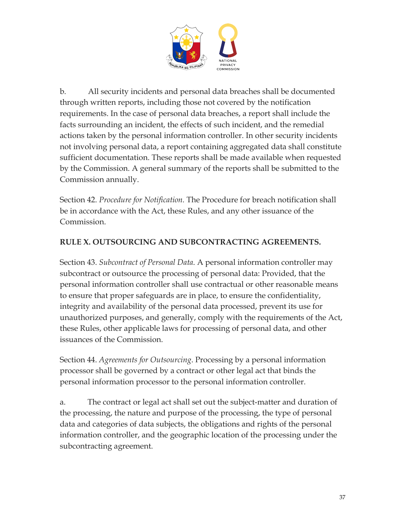

b. All security incidents and personal data breaches shall be documented through written reports, including those not covered by the notification requirements. In the case of personal data breaches, a report shall include the facts surrounding an incident, the effects of such incident, and the remedial actions taken by the personal information controller. In other security incidents not involving personal data, a report containing aggregated data shall constitute sufficient documentation. These reports shall be made available when requested by the Commission. A general summary of the reports shall be submitted to the Commission annually.

Section 42. *Procedure for Notification.* The Procedure for breach notification shall be in accordance with the Act, these Rules, and any other issuance of the Commission.

#### **RULE X. OUTSOURCING AND SUBCONTRACTING AGREEMENTS.**

Section 43. *Subcontract of Personal Data*. A personal information controller may subcontract or outsource the processing of personal data: Provided, that the personal information controller shall use contractual or other reasonable means to ensure that proper safeguards are in place, to ensure the confidentiality, integrity and availability of the personal data processed, prevent its use for unauthorized purposes, and generally, comply with the requirements of the Act, these Rules, other applicable laws for processing of personal data, and other issuances of the Commission.

Section 44. *Agreements for Outsourcing*. Processing by a personal information processor shall be governed by a contract or other legal act that binds the personal information processor to the personal information controller.

a. The contract or legal act shall set out the subject-matter and duration of the processing, the nature and purpose of the processing, the type of personal data and categories of data subjects, the obligations and rights of the personal information controller, and the geographic location of the processing under the subcontracting agreement.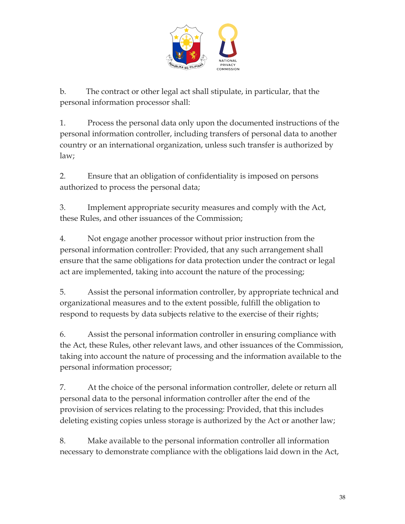

b. The contract or other legal act shall stipulate, in particular, that the personal information processor shall:

1. Process the personal data only upon the documented instructions of the personal information controller, including transfers of personal data to another country or an international organization, unless such transfer is authorized by law;

2. Ensure that an obligation of confidentiality is imposed on persons authorized to process the personal data;

3. Implement appropriate security measures and comply with the Act, these Rules, and other issuances of the Commission;

4. Not engage another processor without prior instruction from the personal information controller: Provided, that any such arrangement shall ensure that the same obligations for data protection under the contract or legal act are implemented, taking into account the nature of the processing;

5. Assist the personal information controller, by appropriate technical and organizational measures and to the extent possible, fulfill the obligation to respond to requests by data subjects relative to the exercise of their rights;

6. Assist the personal information controller in ensuring compliance with the Act, these Rules, other relevant laws, and other issuances of the Commission, taking into account the nature of processing and the information available to the personal information processor;

7. At the choice of the personal information controller, delete or return all personal data to the personal information controller after the end of the provision of services relating to the processing: Provided, that this includes deleting existing copies unless storage is authorized by the Act or another law;

8. Make available to the personal information controller all information necessary to demonstrate compliance with the obligations laid down in the Act,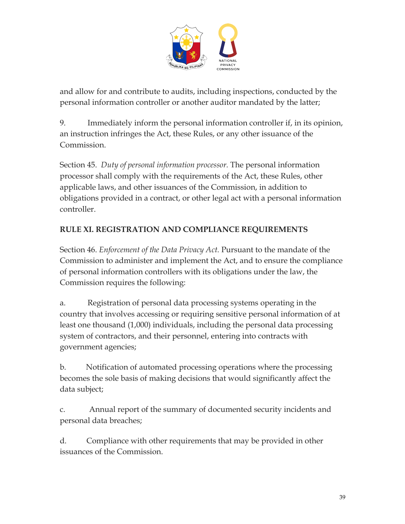

and allow for and contribute to audits, including inspections, conducted by the personal information controller or another auditor mandated by the latter;

9. Immediately inform the personal information controller if, in its opinion, an instruction infringes the Act, these Rules, or any other issuance of the Commission.

Section 45. *Duty of personal information processor.* The personal information processor shall comply with the requirements of the Act, these Rules, other applicable laws, and other issuances of the Commission, in addition to obligations provided in a contract, or other legal act with a personal information controller.

# **RULE XI. REGISTRATION AND COMPLIANCE REQUIREMENTS**

Section 46. *Enforcement of the Data Privacy Act.* Pursuant to the mandate of the Commission to administer and implement the Act, and to ensure the compliance of personal information controllers with its obligations under the law, the Commission requires the following:

a. Registration of personal data processing systems operating in the country that involves accessing or requiring sensitive personal information of at least one thousand (1,000) individuals, including the personal data processing system of contractors, and their personnel, entering into contracts with government agencies;

b. Notification of automated processing operations where the processing becomes the sole basis of making decisions that would significantly affect the data subject;

c. Annual report of the summary of documented security incidents and personal data breaches;

d. Compliance with other requirements that may be provided in other issuances of the Commission.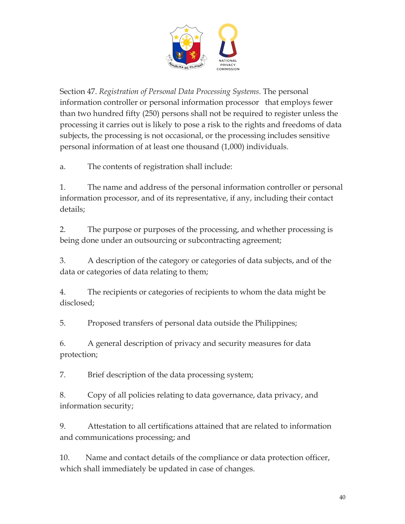

Section 47. *Registration of Personal Data Processing Systems.* The personal information controller or personal information processor that employs fewer than two hundred fifty (250) persons shall not be required to register unless the processing it carries out is likely to pose a risk to the rights and freedoms of data subjects, the processing is not occasional, or the processing includes sensitive personal information of at least one thousand (1,000) individuals.

a. The contents of registration shall include:

1. The name and address of the personal information controller or personal information processor, and of its representative, if any, including their contact details;

2. The purpose or purposes of the processing, and whether processing is being done under an outsourcing or subcontracting agreement;

3. A description of the category or categories of data subjects, and of the data or categories of data relating to them;

4. The recipients or categories of recipients to whom the data might be disclosed;

5. Proposed transfers of personal data outside the Philippines;

6. A general description of privacy and security measures for data protection;

7. Brief description of the data processing system;

8. Copy of all policies relating to data governance, data privacy, and information security;

9. Attestation to all certifications attained that are related to information and communications processing; and

10. Name and contact details of the compliance or data protection officer, which shall immediately be updated in case of changes.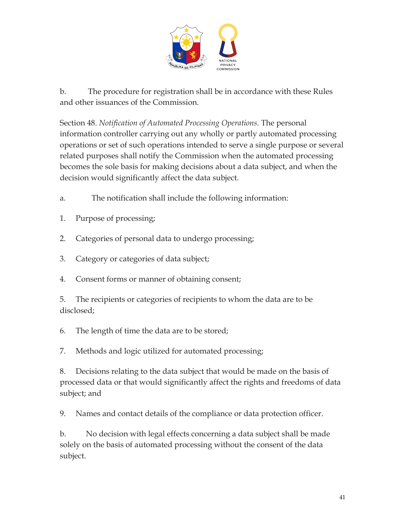

b. The procedure for registration shall be in accordance with these Rules and other issuances of the Commission.

Section 48. *Notification of Automated Processing Operations.* The personal information controller carrying out any wholly or partly automated processing operations or set of such operations intended to serve a single purpose or several related purposes shall notify the Commission when the automated processing becomes the sole basis for making decisions about a data subject, and when the decision would significantly affect the data subject.

- a. The notification shall include the following information:
- 1. Purpose of processing;
- 2. Categories of personal data to undergo processing;
- 3. Category or categories of data subject;
- 4. Consent forms or manner of obtaining consent;

5. The recipients or categories of recipients to whom the data are to be disclosed;

6. The length of time the data are to be stored;

7. Methods and logic utilized for automated processing;

8. Decisions relating to the data subject that would be made on the basis of processed data or that would significantly affect the rights and freedoms of data subject; and

9. Names and contact details of the compliance or data protection officer.

b. No decision with legal effects concerning a data subject shall be made solely on the basis of automated processing without the consent of the data subject.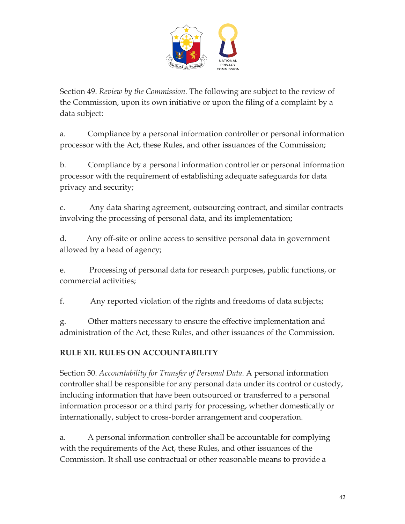

Section 49. *Review by the Commission.* The following are subject to the review of the Commission, upon its own initiative or upon the filing of a complaint by a data subject:

a. Compliance by a personal information controller or personal information processor with the Act, these Rules, and other issuances of the Commission;

b. Compliance by a personal information controller or personal information processor with the requirement of establishing adequate safeguards for data privacy and security;

c. Any data sharing agreement, outsourcing contract, and similar contracts involving the processing of personal data, and its implementation;

d. Any off-site or online access to sensitive personal data in government allowed by a head of agency;

e. Processing of personal data for research purposes, public functions, or commercial activities;

f. Any reported violation of the rights and freedoms of data subjects;

g. Other matters necessary to ensure the effective implementation and administration of the Act, these Rules, and other issuances of the Commission.

## **RULE XII. RULES ON ACCOUNTABILITY**

Section 50. *Accountability for Transfer of Personal Data*. A personal information controller shall be responsible for any personal data under its control or custody, including information that have been outsourced or transferred to a personal information processor or a third party for processing, whether domestically or internationally, subject to cross-border arrangement and cooperation.

a. A personal information controller shall be accountable for complying with the requirements of the Act, these Rules, and other issuances of the Commission. It shall use contractual or other reasonable means to provide a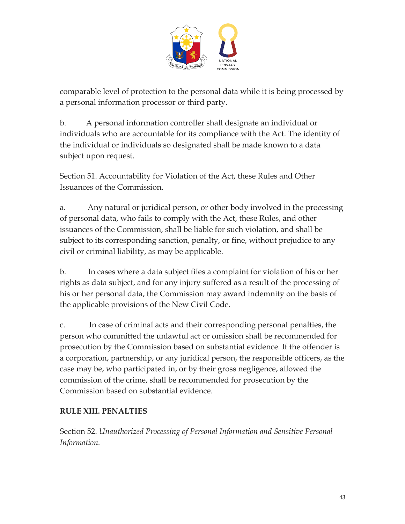

comparable level of protection to the personal data while it is being processed by a personal information processor or third party.

b. A personal information controller shall designate an individual or individuals who are accountable for its compliance with the Act. The identity of the individual or individuals so designated shall be made known to a data subject upon request.

Section 51. Accountability for Violation of the Act, these Rules and Other Issuances of the Commission.

a. Any natural or juridical person, or other body involved in the processing of personal data, who fails to comply with the Act, these Rules, and other issuances of the Commission, shall be liable for such violation, and shall be subject to its corresponding sanction, penalty, or fine, without prejudice to any civil or criminal liability, as may be applicable.

b. In cases where a data subject files a complaint for violation of his or her rights as data subject, and for any injury suffered as a result of the processing of his or her personal data, the Commission may award indemnity on the basis of the applicable provisions of the New Civil Code.

c. In case of criminal acts and their corresponding personal penalties, the person who committed the unlawful act or omission shall be recommended for prosecution by the Commission based on substantial evidence. If the offender is a corporation, partnership, or any juridical person, the responsible officers, as the case may be, who participated in, or by their gross negligence, allowed the commission of the crime, shall be recommended for prosecution by the Commission based on substantial evidence.

## **RULE XIII. PENALTIES**

Section 52. *Unauthorized Processing of Personal Information and Sensitive Personal Information.*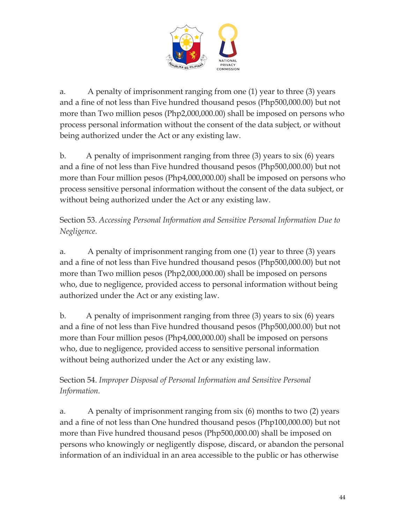

a. A penalty of imprisonment ranging from one (1) year to three (3) years and a fine of not less than Five hundred thousand pesos (Php500,000.00) but not more than Two million pesos (Php2,000,000.00) shall be imposed on persons who process personal information without the consent of the data subject, or without being authorized under the Act or any existing law.

b. A penalty of imprisonment ranging from three (3) years to six (6) years and a fine of not less than Five hundred thousand pesos (Php500,000.00) but not more than Four million pesos (Php4,000,000.00) shall be imposed on persons who process sensitive personal information without the consent of the data subject, or without being authorized under the Act or any existing law.

Section 53. *Accessing Personal Information and Sensitive Personal Information Due to Negligence.*

a. A penalty of imprisonment ranging from one (1) year to three (3) years and a fine of not less than Five hundred thousand pesos (Php500,000.00) but not more than Two million pesos (Php2,000,000.00) shall be imposed on persons who, due to negligence, provided access to personal information without being authorized under the Act or any existing law.

b. A penalty of imprisonment ranging from three (3) years to six (6) years and a fine of not less than Five hundred thousand pesos (Php500,000.00) but not more than Four million pesos (Php4,000,000.00) shall be imposed on persons who, due to negligence, provided access to sensitive personal information without being authorized under the Act or any existing law.

# Section 54. *Improper Disposal of Personal Information and Sensitive Personal Information.*

a. A penalty of imprisonment ranging from six (6) months to two (2) years and a fine of not less than One hundred thousand pesos (Php100,000.00) but not more than Five hundred thousand pesos (Php500,000.00) shall be imposed on persons who knowingly or negligently dispose, discard, or abandon the personal information of an individual in an area accessible to the public or has otherwise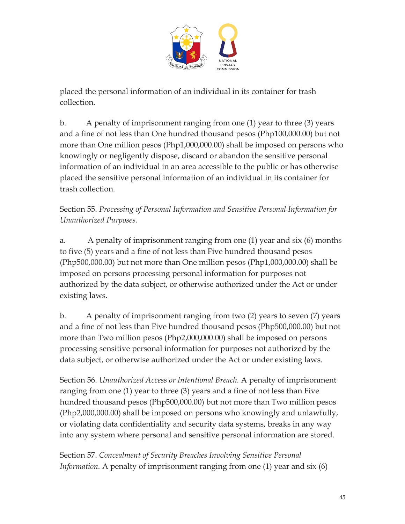

placed the personal information of an individual in its container for trash collection.

b. A penalty of imprisonment ranging from one (1) year to three (3) years and a fine of not less than One hundred thousand pesos (Php100,000.00) but not more than One million pesos (Php1,000,000.00) shall be imposed on persons who knowingly or negligently dispose, discard or abandon the sensitive personal information of an individual in an area accessible to the public or has otherwise placed the sensitive personal information of an individual in its container for trash collection.

Section 55. *Processing of Personal Information and Sensitive Personal Information for Unauthorized Purposes.*

a. A penalty of imprisonment ranging from one (1) year and six (6) months to five (5) years and a fine of not less than Five hundred thousand pesos (Php500,000.00) but not more than One million pesos (Php1,000,000.00) shall be imposed on persons processing personal information for purposes not authorized by the data subject, or otherwise authorized under the Act or under existing laws.

b. A penalty of imprisonment ranging from two (2) years to seven (7) years and a fine of not less than Five hundred thousand pesos (Php500,000.00) but not more than Two million pesos (Php2,000,000.00) shall be imposed on persons processing sensitive personal information for purposes not authorized by the data subject, or otherwise authorized under the Act or under existing laws.

Section 56. *Unauthorized Access or Intentional Breach.* A penalty of imprisonment ranging from one (1) year to three (3) years and a fine of not less than Five hundred thousand pesos (Php500,000.00) but not more than Two million pesos (Php2,000,000.00) shall be imposed on persons who knowingly and unlawfully, or violating data confidentiality and security data systems, breaks in any way into any system where personal and sensitive personal information are stored.

Section 57. *Concealment of Security Breaches Involving Sensitive Personal Information.* A penalty of imprisonment ranging from one (1) year and six (6)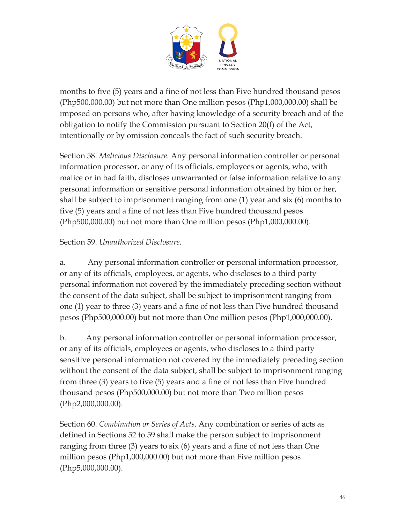

months to five (5) years and a fine of not less than Five hundred thousand pesos (Php500,000.00) but not more than One million pesos (Php1,000,000.00) shall be imposed on persons who, after having knowledge of a security breach and of the obligation to notify the Commission pursuant to Section 20(f) of the Act, intentionally or by omission conceals the fact of such security breach.

Section 58. *Malicious Disclosure.* Any personal information controller or personal information processor, or any of its officials, employees or agents, who, with malice or in bad faith, discloses unwarranted or false information relative to any personal information or sensitive personal information obtained by him or her, shall be subject to imprisonment ranging from one (1) year and six (6) months to five (5) years and a fine of not less than Five hundred thousand pesos (Php500,000.00) but not more than One million pesos (Php1,000,000.00).

#### Section 59. *Unauthorized Disclosure.*

a. Any personal information controller or personal information processor, or any of its officials, employees, or agents, who discloses to a third party personal information not covered by the immediately preceding section without the consent of the data subject, shall be subject to imprisonment ranging from one (1) year to three (3) years and a fine of not less than Five hundred thousand pesos (Php500,000.00) but not more than One million pesos (Php1,000,000.00).

b. Any personal information controller or personal information processor, or any of its officials, employees or agents, who discloses to a third party sensitive personal information not covered by the immediately preceding section without the consent of the data subject, shall be subject to imprisonment ranging from three (3) years to five (5) years and a fine of not less than Five hundred thousand pesos (Php500,000.00) but not more than Two million pesos (Php2,000,000.00).

Section 60. *Combination or Series of Acts*. Any combination or series of acts as defined in Sections 52 to 59 shall make the person subject to imprisonment ranging from three (3) years to six (6) years and a fine of not less than One million pesos (Php1,000,000.00) but not more than Five million pesos (Php5,000,000.00).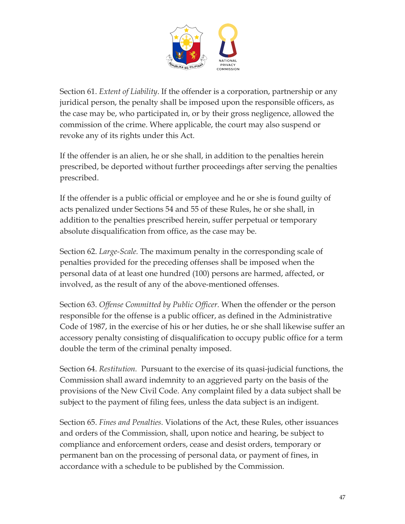

Section 61. *Extent of Liability*. If the offender is a corporation, partnership or any juridical person, the penalty shall be imposed upon the responsible officers, as the case may be, who participated in, or by their gross negligence, allowed the commission of the crime. Where applicable, the court may also suspend or revoke any of its rights under this Act.

If the offender is an alien, he or she shall, in addition to the penalties herein prescribed, be deported without further proceedings after serving the penalties prescribed.

If the offender is a public official or employee and he or she is found guilty of acts penalized under Sections 54 and 55 of these Rules, he or she shall, in addition to the penalties prescribed herein, suffer perpetual or temporary absolute disqualification from office, as the case may be.

Section 62. *Large-Scale.* The maximum penalty in the corresponding scale of penalties provided for the preceding offenses shall be imposed when the personal data of at least one hundred (100) persons are harmed, affected, or involved, as the result of any of the above-mentioned offenses.

Section 63. *Offense Committed by Public Officer.* When the offender or the person responsible for the offense is a public officer, as defined in the Administrative Code of 1987, in the exercise of his or her duties, he or she shall likewise suffer an accessory penalty consisting of disqualification to occupy public office for a term double the term of the criminal penalty imposed.

Section 64. *Restitution.* Pursuant to the exercise of its quasi-judicial functions, the Commission shall award indemnity to an aggrieved party on the basis of the provisions of the New Civil Code. Any complaint filed by a data subject shall be subject to the payment of filing fees, unless the data subject is an indigent.

Section 65. *Fines and Penalties.* Violations of the Act, these Rules, other issuances and orders of the Commission, shall, upon notice and hearing, be subject to compliance and enforcement orders, cease and desist orders, temporary or permanent ban on the processing of personal data, or payment of fines, in accordance with a schedule to be published by the Commission.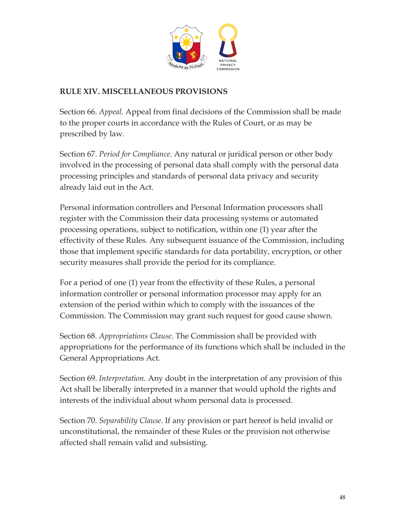

#### **RULE XIV. MISCELLANEOUS PROVISIONS**

Section 66. *Appeal.* Appeal from final decisions of the Commission shall be made to the proper courts in accordance with the Rules of Court, or as may be prescribed by law.

Section 67. *Period for Compliance.* Any natural or juridical person or other body involved in the processing of personal data shall comply with the personal data processing principles and standards of personal data privacy and security already laid out in the Act.

Personal information controllers and Personal Information processors shall register with the Commission their data processing systems or automated processing operations, subject to notification, within one (1) year after the effectivity of these Rules. Any subsequent issuance of the Commission, including those that implement specific standards for data portability, encryption, or other security measures shall provide the period for its compliance.

For a period of one (1) year from the effectivity of these Rules, a personal information controller or personal information processor may apply for an extension of the period within which to comply with the issuances of the Commission. The Commission may grant such request for good cause shown.

Section 68. *Appropriations Clause*. The Commission shall be provided with appropriations for the performance of its functions which shall be included in the General Appropriations Act.

Section 69. *Interpretation.* Any doubt in the interpretation of any provision of this Act shall be liberally interpreted in a manner that would uphold the rights and interests of the individual about whom personal data is processed.

Section 70. *Separability Clause*. If any provision or part hereof is held invalid or unconstitutional, the remainder of these Rules or the provision not otherwise affected shall remain valid and subsisting.